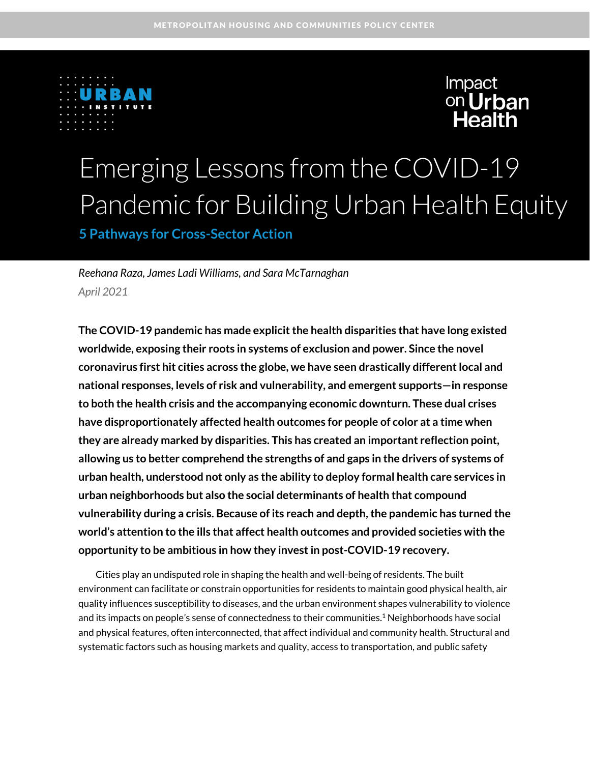



# Emerging Lessons from the COVID-19 Pandemic for Building Urban Health Equity

**5 Pathways for Cross-Sector Action**

*Reehana Raza, James Ladi Williams, and Sara McTarnaghan April 2021*

**The COVID-19 pandemic has made explicit the health disparities that have long existed worldwide, exposing their roots in systems of exclusion and power. Since the novel coronavirus first hit cities across the globe, we have seen drastically different local and national responses, levels of risk and vulnerability, and emergent supports—in response to both the health crisis and the accompanying economic downturn. These dual crises have disproportionately affected health outcomes for people of color at a time when they are already marked by disparities. This has created an important reflection point, allowing us to better comprehend the strengths of and gaps in the drivers of systems of urban health, understood not only as the ability to deploy formal health care services in urban neighborhoods but also the social determinants of health that compound vulnerability during a crisis. Because of its reach and depth, the pandemic has turned the world's attention to the ills that affect health outcomes and provided societies with the opportunity to be ambitious in how they invest in post-COVID-19 recovery.**

Cities play an undisputed role in shaping the health and well-being of residents. The built environment can facilitate or constrain opportunities for residents to maintain good physical health, air quality influences susceptibility to diseases, and the urban environment shapes vulnerability to violence and its impacts on people's sense of connectedness to their communities. <sup>1</sup> Neighborhoods have social and physical features, often interconnected, that affect individual and community health. Structural and systematic factors such as housing markets and quality, access to transportation, and public safety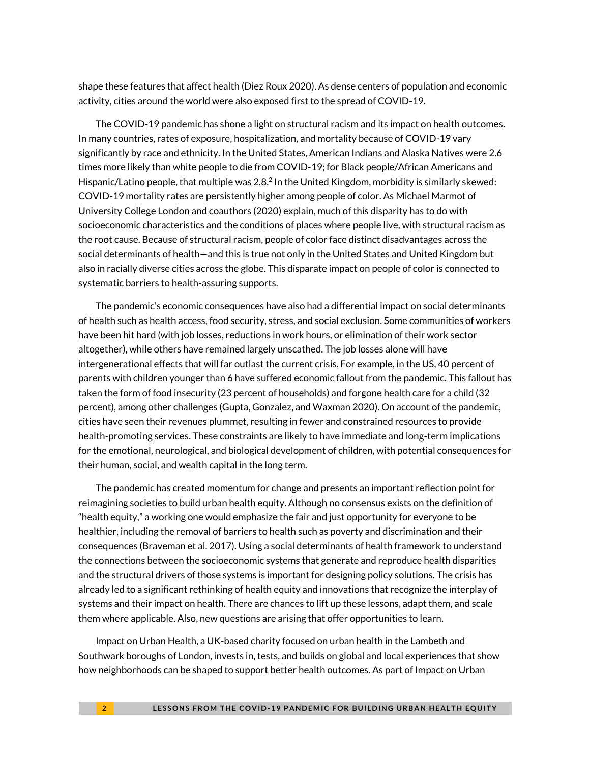shape these features that affect health (Diez Roux 2020). As dense centers of population and economic activity, cities around the world were also exposed first to the spread of COVID-19.

The COVID-19 pandemic has shone a light on structural racism and its impact on health outcomes. In many countries, rates of exposure, hospitalization, and mortality because of COVID-19 vary significantly by race and ethnicity. In the United States, American Indians and Alaska Natives were 2.6 times more likely than white people to die from COVID-19; for Black people/African Americans and Hispanic/Latino people, that multiple was 2.8.<sup>2</sup> In the United Kingdom, morbidity is similarly skewed: COVID-19 mortality rates are persistently higher among people of color. As Michael Marmot of University College London and coauthors (2020) explain, much of this disparity has to do with socioeconomic characteristics and the conditions of places where people live, with structural racism as the root cause. Because of structural racism, people of color face distinct disadvantages across the social determinants of health—and this is true not only in the United States and United Kingdom but also in racially diverse cities across the globe. This disparate impact on people of color is connected to systematic barriers to health-assuring supports.

The pandemic's economic consequences have also had a differential impact on social determinants of health such as health access, food security, stress, and social exclusion. Some communities of workers have been hit hard (with job losses, reductions in work hours, or elimination of their work sector altogether), while others have remained largely unscathed. The job losses alone will have intergenerational effects that will far outlast the current crisis. For example, in the US, 40 percent of parents with children younger than 6 have suffered economic fallout from the pandemic. This fallout has taken the form of food insecurity (23 percent of households) and forgone health care for a child (32 percent), among other challenges (Gupta, Gonzalez, and Waxman 2020). On account of the pandemic, cities have seen their revenues plummet, resulting in fewer and constrained resources to provide health-promoting services. These constraints are likely to have immediate and long-term implications for the emotional, neurological, and biological development of children, with potential consequences for their human, social, and wealth capital in the long term.

The pandemic has created momentum for change and presents an important reflection point for reimagining societies to build urban health equity. Although no consensus exists on the definition of "health equity," a working one would emphasize the fair and just opportunity for everyone to be healthier, including the removal of barriers to health such as poverty and discrimination and their consequences (Braveman et al. 2017). Using a social determinants of health framework to understand the connections between the socioeconomic systems that generate and reproduce health disparities and the structural drivers of those systems is important for designing policy solutions. The crisis has already led to a significant rethinking of health equity and innovations that recognize the interplay of systems and their impact on health. There are chances to lift up these lessons, adapt them, and scale them where applicable. Also, new questions are arising that offer opportunities to learn.

Impact on Urban Health, a UK-based charity focused on urban health in the Lambeth and Southwark boroughs of London, invests in, tests, and builds on global and local experiences that show how neighborhoods can be shaped to support better health outcomes. As part of Impact on Urban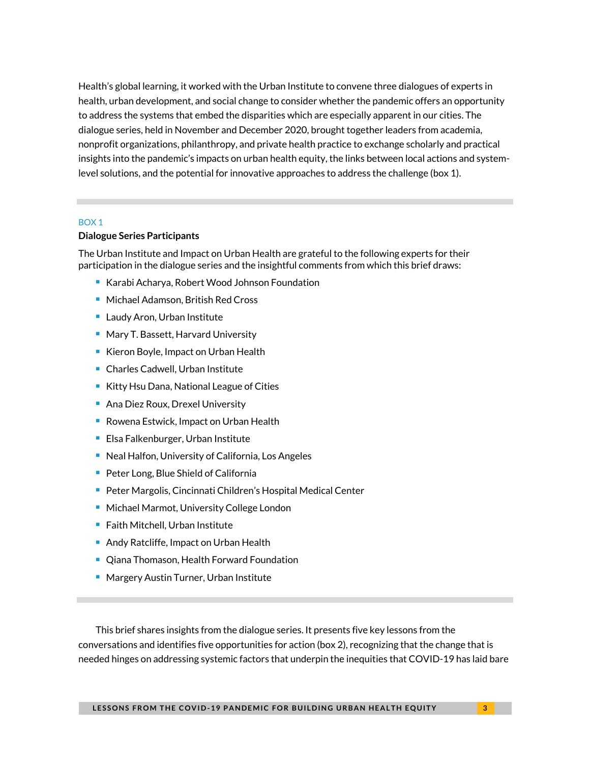Health's global learning, it worked with the Urban Institute to convene three dialogues of experts in health, urban development, and social change to consider whether the pandemic offers an opportunity to address the systems that embed the disparities which are especially apparent in our cities. The dialogue series, held in November and December 2020, brought together leaders from academia, nonprofit organizations, philanthropy, and private health practice to exchange scholarly and practical insights into the pandemic's impacts on urban health equity, the links between local actions and systemlevel solutions, and the potential for innovative approaches to address the challenge (box 1).

#### BOX 1

#### **Dialogue Series Participants**

The Urban Institute and Impact on Urban Health are grateful to the following experts for their participation in the dialogue series and the insightful comments from which this brief draws:

- Karabi Acharya, Robert Wood Johnson Foundation
- Michael Adamson, British Red Cross
- Laudy Aron, Urban Institute
- Mary T. Bassett, Harvard University
- Kieron Boyle, Impact on Urban Health
- Charles Cadwell, Urban Institute
- Kitty Hsu Dana, National League of Cities
- Ana Diez Roux, Drexel University
- Rowena Estwick, Impact on Urban Health
- Elsa Falkenburger, Urban Institute
- Neal Halfon, University of California, Los Angeles
- Peter Long, Blue Shield of California
- Peter Margolis, Cincinnati Children's Hospital Medical Center
- Michael Marmot, University College London
- Faith Mitchell, Urban Institute
- Andy Ratcliffe, Impact on Urban Health
- Qiana Thomason, Health Forward Foundation
- Margery Austin Turner, Urban Institute

This brief shares insights from the dialogue series. It presents five key lessons from the conversations and identifies five opportunities for action (box 2), recognizing that the change that is needed hinges on addressing systemic factors that underpin the inequities that COVID-19 has laid bare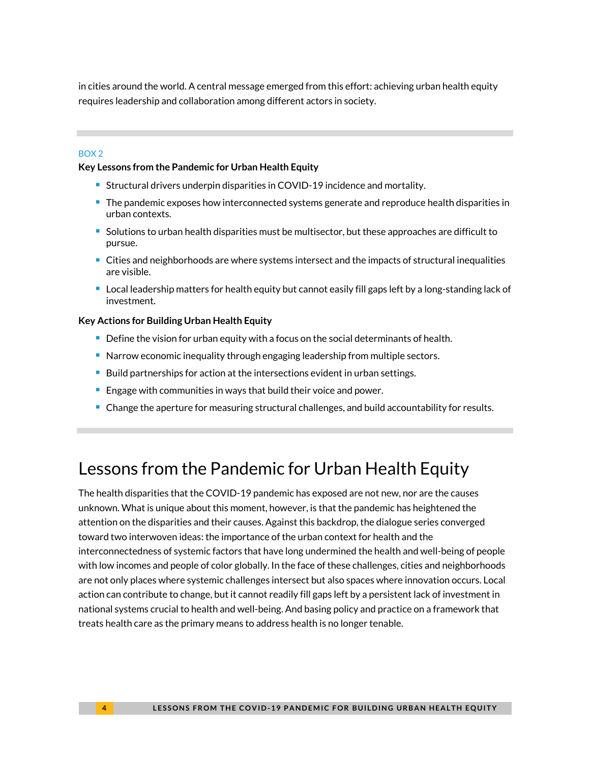in cities around the world. A central message emerged from this effort: achieving urban health equity requires leadership and collaboration among different actors in society.

#### BOX 2

#### **Key Lessons from the Pandemic for Urban Health Equity**

- Structural drivers underpin disparities in COVID-19 incidence and mortality.
- The pandemic exposes how interconnected systems generate and reproduce health disparities in urban contexts.
- Solutions to urban health disparities must be multisector, but these approaches are difficult to pursue.
- Cities and neighborhoods are where systems intersect and the impacts of structural inequalities are visible.
- Local leadership matters for health equity but cannot easily fill gaps left by a long-standing lack of investment.

#### **Key Actions for Building Urban Health Equity**

- Define the vision for urban equity with a focus on the social determinants of health.
- Narrow economic inequality through engaging leadership from multiple sectors.
- Build partnerships for action at the intersections evident in urban settings.
- Engage with communities in ways that build their voice and power.
- Change the aperture for measuring structural challenges, and build accountability for results.

# Lessons from the Pandemic for Urban Health Equity

The health disparities that the COVID-19 pandemic has exposed are not new, nor are the causes unknown. What is unique about this moment, however, is that the pandemic has heightened the attention on the disparities and their causes. Against this backdrop, the dialogue series converged toward two interwoven ideas: the importance of the urban context for health and the interconnectedness of systemic factors that have long undermined the health and well-being of people with low incomes and people of color globally. In the face of these challenges, cities and neighborhoods are not only places where systemic challenges intersect but also spaces where innovation occurs. Local action can contribute to change, but it cannot readily fill gaps left by a persistent lack of investment in national systems crucial to health and well-being. And basing policy and practice on a framework that treats health care as the primary means to address health is no longer tenable.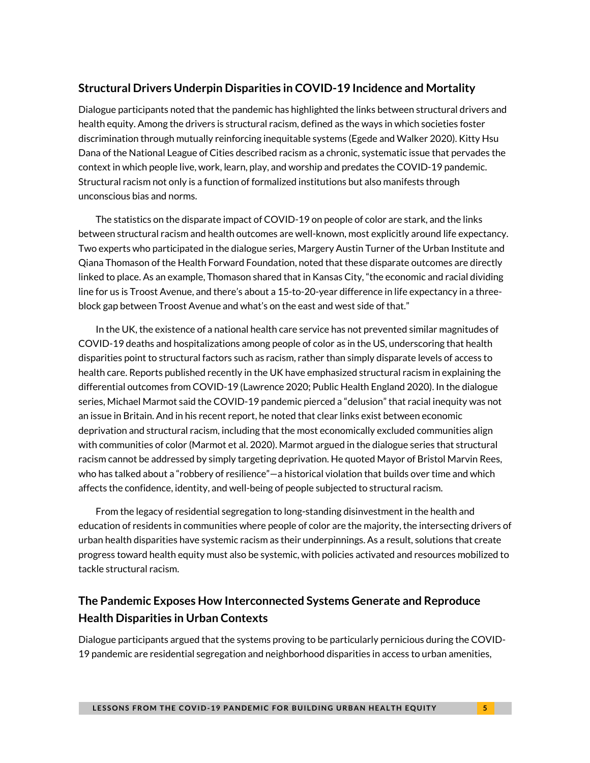### **Structural Drivers Underpin Disparities in COVID-19 Incidence and Mortality**

Dialogue participants noted that the pandemic has highlighted the links between structural drivers and health equity. Among the drivers is structural racism, defined as the ways in which societies foster discrimination through mutually reinforcing inequitable systems (Egede and Walker 2020). Kitty Hsu Dana of the National League of Cities described racism as a chronic, systematic issue that pervades the context in which people live, work, learn, play, and worship and predates the COVID-19 pandemic. Structural racism not only is a function of formalized institutions but also manifests through unconscious bias and norms.

The statistics on the disparate impact of COVID-19 on people of color are stark, and the links between structural racism and health outcomes are well-known, most explicitly around life expectancy. Two experts who participated in the dialogue series, Margery Austin Turner of the Urban Institute and Qiana Thomason of the Health Forward Foundation, noted that these disparate outcomes are directly linked to place. As an example, Thomason shared that in Kansas City, "the economic and racial dividing line for us is Troost Avenue, and there's about a 15-to-20-year difference in life expectancy in a threeblock gap between Troost Avenue and what's on the east and west side of that."

In the UK, the existence of a national health care service has not prevented similar magnitudes of COVID-19 deaths and hospitalizations among people of color as in the US, underscoring that health disparities point to structural factors such as racism, rather than simply disparate levels of access to health care. Reports published recently in the UK have emphasized structural racism in explaining the differential outcomes from COVID-19 (Lawrence 2020; Public Health England 2020). In the dialogue series, Michael Marmot said the COVID-19 pandemic pierced a "delusion" that racial inequity was not an issue in Britain. And in his recent report, he noted that clear links exist between economic deprivation and structural racism, including that the most economically excluded communities align with communities of color (Marmot et al. 2020). Marmot argued in the dialogue series that structural racism cannot be addressed by simply targeting deprivation. He quoted Mayor of Bristol Marvin Rees, who has talked about a "robbery of resilience"—a historical violation that builds over time and which affects the confidence, identity, and well-being of people subjected to structural racism.

From the legacy of residential segregation to long-standing disinvestment in the health and education of residents in communities where people of color are the majority, the intersecting drivers of urban health disparities have systemic racism as their underpinnings. As a result, solutions that create progress toward health equity must also be systemic, with policies activated and resources mobilized to tackle structural racism.

### **The Pandemic Exposes How Interconnected Systems Generate and Reproduce Health Disparities in Urban Contexts**

Dialogue participants argued that the systems proving to be particularly pernicious during the COVID-19 pandemic are residential segregation and neighborhood disparities in access to urban amenities,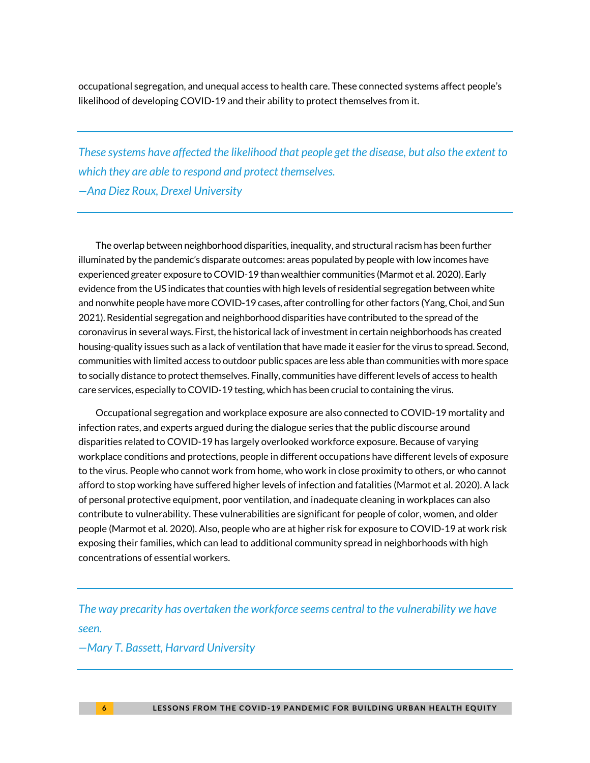occupational segregation, and unequal access to health care. These connected systems affect people's likelihood of developing COVID-19 and their ability to protect themselves from it.

*These systems have affected the likelihood that people get the disease, but also the extent to which they are able to respond and protect themselves. —Ana Diez Roux, Drexel University*

The overlap between neighborhood disparities, inequality, and structural racism has been further illuminated by the pandemic's disparate outcomes: areas populated by people with low incomes have experienced greater exposure to COVID-19 than wealthier communities (Marmot et al. 2020). Early evidence from the US indicates that counties with high levels of residential segregation between white and nonwhite people have more COVID-19 cases, after controlling for other factors (Yang, Choi, and Sun 2021). Residential segregation and neighborhood disparities have contributed to the spread of the coronavirus in several ways. First, the historical lack ofinvestment in certain neighborhoods has created housing-quality issues such as a lack of ventilation that have made it easier for the virus to spread. Second, communities with limited access to outdoor public spaces are less able than communities with more space to socially distance to protect themselves. Finally, communities have different levels of access to health care services, especially to COVID-19 testing, which has been crucial to containing the virus.

Occupational segregation and workplace exposure are also connected to COVID-19 mortality and infection rates, and experts argued during the dialogue series that the public discourse around disparities related to COVID-19 has largely overlooked workforce exposure. Because of varying workplace conditions and protections, people in different occupations have different levels of exposure to the virus. People who cannot work from home, who work in close proximity to others, or who cannot afford to stop working have suffered higher levels of infection and fatalities (Marmot et al. 2020). A lack of personal protective equipment, poor ventilation, and inadequate cleaning in workplaces can also contribute to vulnerability. These vulnerabilities are significant for people of color, women, and older people (Marmot et al. 2020). Also, people who are at higher risk for exposure to COVID-19 at work risk exposing their families, which can lead to additional community spread in neighborhoods with high concentrations of essential workers.

*The way precarity has overtaken the workforce seems central to the vulnerability we have seen.*

#### *—Mary T. Bassett, Harvard University*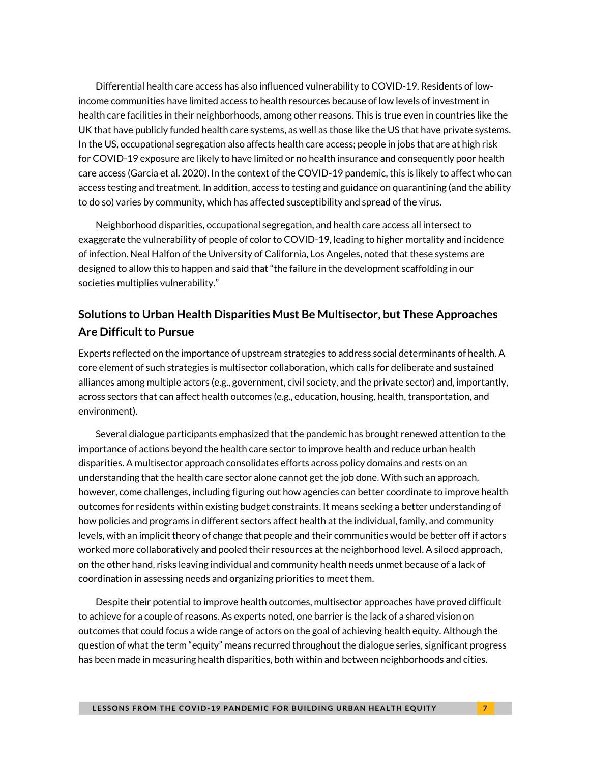Differential health care access has also influenced vulnerability to COVID-19. Residents of lowincome communities have limited access to health resources because of low levels of investment in health care facilities in their neighborhoods, among other reasons. This is true even in countries like the UK that have publicly funded health care systems, as well as those like the US that have private systems. In the US, occupational segregation also affects health care access; people in jobs that are at high risk for COVID-19 exposure are likely to have limited or no health insurance and consequently poor health care access (Garcia et al. 2020). In the context of the COVID-19 pandemic, this is likely to affect who can access testing and treatment. In addition, access to testing and guidance on quarantining (and the ability to do so) varies by community, which has affected susceptibility and spread of the virus.

Neighborhood disparities, occupational segregation, and health care access all intersect to exaggerate the vulnerability of people of color to COVID-19, leading to higher mortality and incidence of infection. Neal Halfon of the University of California, Los Angeles, noted that these systems are designed to allow this to happen and said that "the failure in the development scaffolding in our societies multiplies vulnerability."

### **Solutions to Urban Health Disparities Must Be Multisector, but These Approaches Are Difficult to Pursue**

Experts reflected on the importance of upstream strategies to address social determinants of health. A core element of such strategies is multisector collaboration, which calls for deliberate and sustained alliances among multiple actors (e.g., government, civil society, and the private sector) and, importantly, across sectors that can affect health outcomes (e.g., education, housing, health, transportation, and environment).

Several dialogue participants emphasized that the pandemic has brought renewed attention to the importance of actions beyond the health care sector to improve health and reduce urban health disparities. A multisector approach consolidates efforts across policy domains and rests on an understanding that the health care sector alone cannot get the job done. With such an approach, however, come challenges, including figuring out how agencies can better coordinate to improve health outcomes for residents within existing budget constraints. It means seeking a better understanding of how policies and programs in different sectors affect health at the individual, family, and community levels, with an implicit theory of change that people and their communities would be better off if actors worked more collaboratively and pooled their resources at the neighborhood level. A siloed approach, on the other hand, risks leaving individual and community health needs unmet because of a lack of coordination in assessing needs and organizing priorities to meet them.

Despite their potential to improve health outcomes, multisector approaches have proved difficult to achieve for a couple of reasons. As experts noted, one barrier is the lack of a shared vision on outcomes that could focus a wide range of actors on the goal of achieving health equity. Although the question of what the term "equity" means recurred throughout the dialogue series, significant progress has been made in measuring health disparities, both within and between neighborhoods and cities.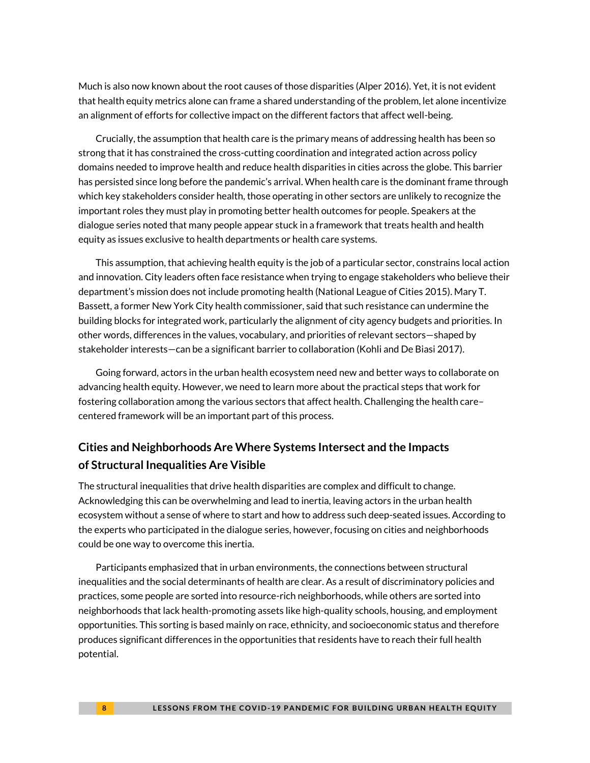Much is also now known about the root causes of those disparities (Alper 2016). Yet, it is not evident that health equity metrics alone can frame a shared understanding of the problem, let alone incentivize an alignment of efforts for collective impact on the different factors that affect well-being.

Crucially, the assumption that health care is the primary means of addressing health has been so strong that it has constrained the cross-cutting coordination and integrated action across policy domains needed to improve health and reduce health disparities in cities across the globe. This barrier has persisted since long before the pandemic's arrival. When health care is the dominant frame through which key stakeholders consider health, those operating in other sectors are unlikely to recognize the important roles they must play in promoting better health outcomes for people. Speakers at the dialogue series noted that many people appear stuck in a framework that treats health and health equity as issues exclusive to health departments or health care systems.

This assumption, that achieving health equity is the job of a particular sector, constrains local action and innovation. City leaders often face resistance when trying to engage stakeholders who believe their department's mission does not include promoting health (National League of Cities 2015). Mary T. Bassett, a former New York City health commissioner, said that such resistance can undermine the building blocks for integrated work, particularly the alignment of city agency budgets and priorities. In other words, differences in the values, vocabulary, and priorities of relevant sectors—shaped by stakeholder interests—can be a significant barrier to collaboration (Kohli and De Biasi 2017).

Going forward, actors in the urban health ecosystem need new and better ways to collaborate on advancing health equity. However, we need to learn more about the practical steps that work for fostering collaboration among the various sectors that affect health. Challenging the health care– centered framework will be an important part of this process.

### **Cities and Neighborhoods Are Where Systems Intersect and the Impacts of Structural Inequalities Are Visible**

The structural inequalities that drive health disparities are complex and difficult to change. Acknowledging this can be overwhelming and lead to inertia, leaving actors in the urban health ecosystem without a sense of where to start and how to address such deep-seated issues. According to the experts who participated in the dialogue series, however, focusing on cities and neighborhoods could be one way to overcome this inertia.

Participants emphasized that in urban environments, the connections between structural inequalities and the social determinants of health are clear. As a result of discriminatory policies and practices, some people are sorted into resource-rich neighborhoods, while others are sorted into neighborhoods that lack health-promoting assets like high-quality schools, housing, and employment opportunities. This sorting is based mainly on race, ethnicity, and socioeconomic status and therefore produces significant differences in the opportunities that residents have to reach their full health potential.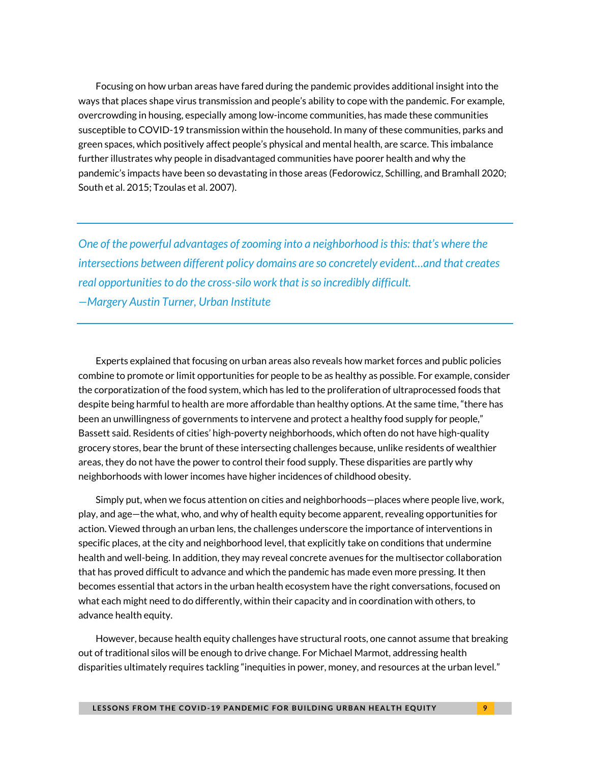Focusing on how urban areas have fared during the pandemic provides additional insight into the ways that places shape virus transmission and people's ability to cope with the pandemic. For example, overcrowding in housing, especially among low-income communities, has made these communities susceptible to COVID-19 transmission within the household. In many of these communities, parks and green spaces, which positively affect people's physical and mental health, are scarce. This imbalance further illustrates why people in disadvantaged communities have poorer health and why the pandemic's impacts have been so devastating in those areas (Fedorowicz, Schilling, and Bramhall 2020; South et al. 2015; Tzoulas et al. 2007).

*One of the powerful advantages of zooming into a neighborhood is this: that's where the intersections between different policy domains are so concretely evident…and that creates real opportunities to do the cross-silo work that is so incredibly difficult. —Margery Austin Turner, Urban Institute*

Experts explained that focusing on urban areas also reveals how market forces and public policies combine to promote or limit opportunities for people to be as healthy as possible. For example, consider the corporatization of the food system, which has led to the proliferation of ultraprocessed foods that despite being harmful to health are more affordable than healthy options. At the same time, "there has been an unwillingness of governments to intervene and protect a healthy food supply for people," Bassett said. Residents of cities' high-poverty neighborhoods, which often do not have high-quality grocery stores, bear the brunt of these intersecting challenges because, unlike residents of wealthier areas, they do not have the power to control their food supply. These disparities are partly why neighborhoods with lower incomes have higher incidences of childhood obesity.

Simply put, when we focus attention on cities and neighborhoods—places where people live, work, play, and age—the what, who, and why of health equity become apparent, revealing opportunities for action. Viewed through an urban lens, the challenges underscore the importance of interventions in specific places, at the city and neighborhood level, that explicitly take on conditions that undermine health and well-being. In addition, they may reveal concrete avenues for the multisector collaboration that has proved difficult to advance and which the pandemic has made even more pressing. It then becomes essential that actors in the urban health ecosystem have the right conversations, focused on what each might need to do differently, within their capacity and in coordination with others, to advance health equity.

However, because health equity challenges have structural roots, one cannot assume that breaking out of traditional silos will be enough to drive change. For Michael Marmot, addressing health disparities ultimately requires tackling "inequities in power, money, and resources at the urban level."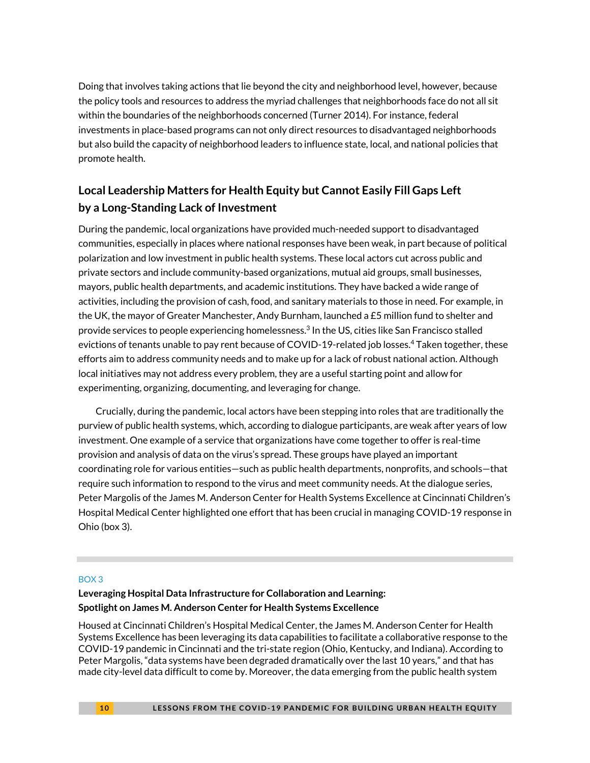Doing that involves taking actions that lie beyond the city and neighborhood level, however, because the policy tools and resources to address the myriad challenges that neighborhoods face do not all sit within the boundaries of the neighborhoods concerned (Turner 2014). For instance, federal investments in place-based programs can not only direct resources to disadvantaged neighborhoods but also build the capacity of neighborhood leaders to influence state, local, and national policies that promote health.

### **Local Leadership Matters for Health Equity but Cannot Easily Fill Gaps Left by a Long-Standing Lack of Investment**

During the pandemic, local organizations have provided much-needed support to disadvantaged communities, especially in places where national responses have been weak, in part because of political polarization and low investment in public health systems. These local actors cut across public and private sectors and include community-based organizations, mutual aid groups, small businesses, mayors, public health departments, and academic institutions. They have backed a wide range of activities, including the provision of cash, food, and sanitary materials to those in need. For example, in the UK, the mayor of Greater Manchester, Andy Burnham, launched a £5 million fund to shelter and provide services to people experiencing homelessness. 3 In the US, cities like San Francisco stalled evictions of tenants unable to pay rent because of COVID-19-related job losses. <sup>4</sup> Taken together, these efforts aim to address community needs and to make up for a lack of robust national action. Although local initiatives may not address every problem, they are a useful starting point and allow for experimenting, organizing, documenting, and leveraging for change.

Crucially, during the pandemic, local actors have been stepping into roles that are traditionally the purview of public health systems, which, according to dialogue participants, are weak after years of low investment. One example of a service that organizations have come together to offer is real-time provision and analysis of data on the virus's spread. These groups have played an important coordinating role for various entities—such as public health departments, nonprofits, and schools—that require such information to respond to the virus and meet community needs. At the dialogue series, Peter Margolis of the James M. Anderson Center for Health Systems Excellence at Cincinnati Children's Hospital Medical Center highlighted one effort that has been crucial in managing COVID-19 response in Ohio (box 3).

#### BOX 3

#### **Leveraging Hospital Data Infrastructure for Collaboration and Learning: Spotlight on James M. Anderson Center for Health Systems Excellence**

Housed at Cincinnati Children's Hospital Medical Center, the James M. Anderson Center for Health Systems Excellence has been leveraging its data capabilities to facilitate a collaborative response to the COVID-19 pandemic in Cincinnati and the tri-state region (Ohio, Kentucky, and Indiana). According to Peter Margolis, "data systems have been degraded dramatically over the last 10 years," and that has made city-level data difficult to come by. Moreover, the data emerging from the public health system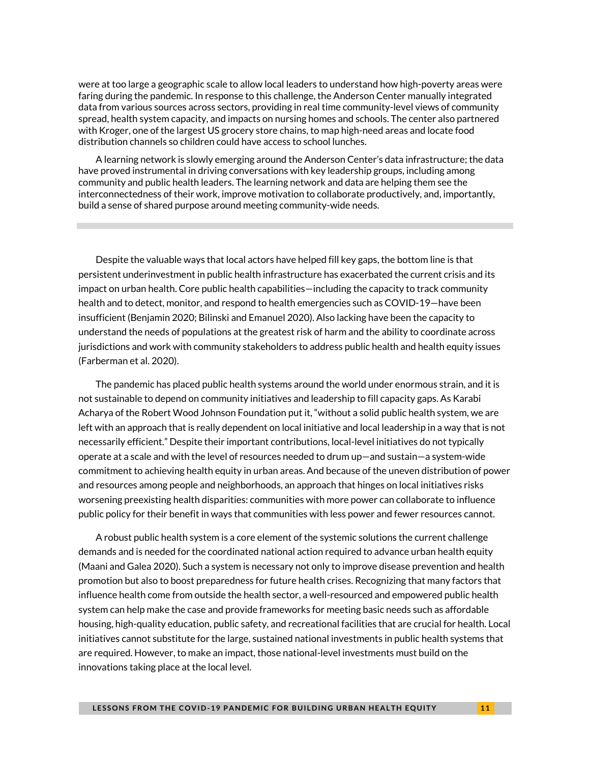were at too large a geographic scale to allow local leaders to understand how high-poverty areas were faring during the pandemic. In response to this challenge, the Anderson Center manually integrated data from various sources across sectors, providing in real time community-level views of community spread, health system capacity, and impacts on nursing homes and schools. The center also partnered with Kroger, one of the largest US grocery store chains, to map high-need areas and locate food distribution channels so children could have access to school lunches.

A learning network is slowly emerging around the Anderson Center's data infrastructure; the data have proved instrumental in driving conversations with key leadership groups, including among community and public health leaders. The learning network and data are helping them see the interconnectedness of their work, improve motivation to collaborate productively, and, importantly, build a sense of shared purpose around meeting community-wide needs.

Despite the valuable ways that local actors have helped fill key gaps, the bottom line is that persistent underinvestment in public health infrastructure has exacerbated the current crisis and its impact on urban health. Core public health capabilities—including the capacity to track community health and to detect, monitor, and respond to health emergencies such as COVID-19—have been insufficient (Benjamin 2020; Bilinski and Emanuel 2020). Also lacking have been the capacity to understand the needs of populations at the greatest risk of harm and the ability to coordinate across jurisdictions and work with community stakeholders to address public health and health equity issues (Farberman et al. 2020).

The pandemic has placed public health systems around the world under enormous strain, and it is not sustainable to depend on community initiatives and leadership to fill capacity gaps. As Karabi Acharya of the Robert Wood Johnson Foundation put it, "without a solid public health system, we are left with an approach that is really dependent on local initiative and local leadership in a way that is not necessarily efficient." Despite their important contributions, local-level initiatives do not typically operate at a scale and with the level of resources needed to drum up—and sustain—a system-wide commitment to achieving health equity in urban areas. And because of the uneven distribution of power and resources among people and neighborhoods, an approach that hinges on local initiatives risks worsening preexisting health disparities: communities with more power can collaborate to influence public policy for their benefit in ways that communities with less power and fewer resources cannot.

A robust public health system is a core element of the systemic solutions the current challenge demands and is needed for the coordinated national action required to advance urban health equity (Maani and Galea 2020). Such a system is necessary not only to improve disease prevention and health promotion but also to boost preparedness for future health crises. Recognizing that many factors that influence health come from outside the health sector, a well-resourced and empowered public health system can help make the case and provide frameworks for meeting basic needs such as affordable housing, high-quality education, public safety, and recreational facilities that are crucial for health. Local initiatives cannot substitute for the large, sustained national investments in public health systems that are required. However, to make an impact, those national-level investments must build on the innovations taking place at the local level.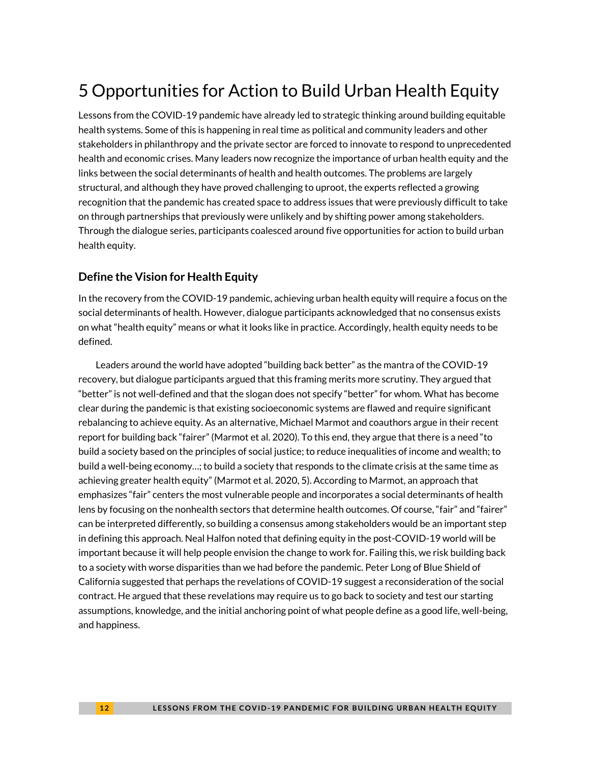# 5 Opportunities for Action to Build Urban Health Equity

Lessons from the COVID-19 pandemic have already led to strategic thinking around building equitable health systems. Some of this is happening in real time as political and community leaders and other stakeholders in philanthropy and the private sector are forced to innovate to respond to unprecedented health and economic crises. Many leaders now recognize the importance of urban health equity and the links between the social determinants of health and health outcomes. The problems are largely structural, and although they have proved challenging to uproot, the experts reflected a growing recognition that the pandemic has created space to address issues that were previously difficult to take on through partnerships that previously were unlikely and by shifting power among stakeholders. Through the dialogue series, participants coalesced around five opportunities for action to build urban health equity.

### **Define the Vision for Health Equity**

In the recovery from the COVID-19 pandemic, achieving urban health equity will require a focus on the social determinants of health. However, dialogue participants acknowledged that no consensus exists on what "health equity" means or what it looks like in practice. Accordingly, health equity needs to be defined.

Leaders around the world have adopted "building back better" as the mantra of the COVID-19 recovery, but dialogue participants argued that this framing merits more scrutiny. They argued that "better" is not well-defined and that the slogan does not specify "better" for whom. What has become clear during the pandemic is that existing socioeconomic systems are flawed and require significant rebalancing to achieve equity. As an alternative, Michael Marmot and coauthors argue in their recent report for building back "fairer" (Marmot et al. 2020). To this end, they argue that there is a need "to build a society based on the principles of social justice; to reduce inequalities of income and wealth; to build a well-being economy…; to build a society that responds to the climate crisis at the same time as achieving greater health equity" (Marmot et al. 2020, 5). According to Marmot, an approach that emphasizes "fair" centers the most vulnerable people and incorporates a social determinants of health lens by focusing on the nonhealth sectors that determine health outcomes. Of course, "fair" and "fairer" can be interpreted differently, so building a consensus among stakeholders would be an important step in defining this approach. Neal Halfon noted that defining equity in the post-COVID-19 world will be important because it will help people envision the change to work for. Failing this, we risk building back to a society with worse disparities than we had before the pandemic. Peter Long of Blue Shield of California suggested that perhaps the revelations of COVID-19 suggest a reconsideration of the social contract. He argued that these revelations may require us to go back to society and test our starting assumptions, knowledge, and the initial anchoring point of what people define as a good life, well-being, and happiness.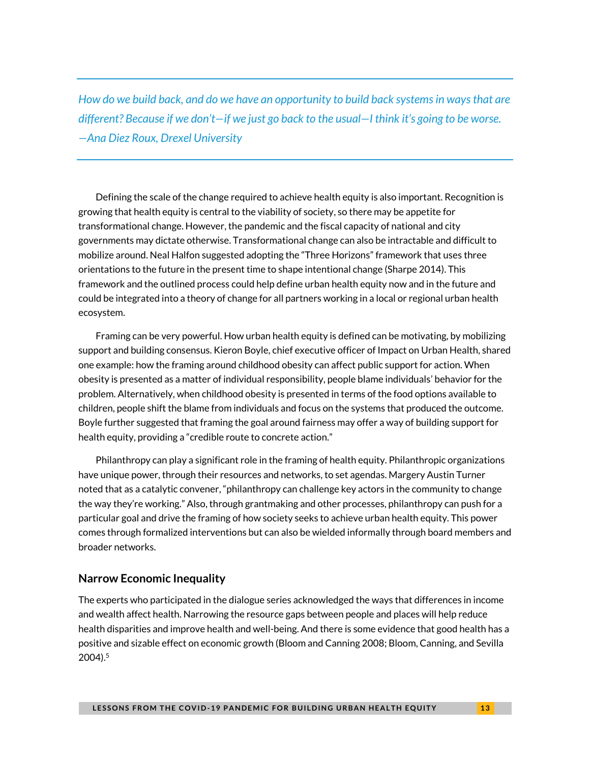*How do we build back, and do we have an opportunity to build back systems in ways that are different? Because if we don't—if we just go back to the usual—I think it's going to be worse. —Ana Diez Roux, Drexel University*

Defining the scale of the change required to achieve health equity is also important. Recognition is growing that health equity is central to the viability of society, so there may be appetite for transformational change. However, the pandemic and the fiscal capacity of national and city governments may dictate otherwise. Transformational change can also be intractable and difficult to mobilize around. Neal Halfon suggested adopting the "Three Horizons" framework that uses three orientations to the future in the present time to shape intentional change (Sharpe 2014). This framework and the outlined process could help define urban health equity now and in the future and could be integrated into a theory of change for all partners working in a local or regional urban health ecosystem.

Framing can be very powerful. How urban health equity is defined can be motivating, by mobilizing support and building consensus. Kieron Boyle, chief executive officer of Impact on Urban Health, shared one example: how the framing around childhood obesity can affect public support for action. When obesity is presented as a matter of individual responsibility, people blame individuals' behavior for the problem. Alternatively, when childhood obesity is presented in terms of the food options available to children, people shift the blame from individuals and focus on the systems that produced the outcome. Boyle further suggested that framing the goal around fairness may offer a way of building support for health equity, providing a "credible route to concrete action."

Philanthropy can play a significant role in the framing of health equity. Philanthropic organizations have unique power, through their resources and networks, to set agendas. Margery Austin Turner noted that as a catalytic convener, "philanthropy can challenge key actors in the community to change the way they're working." Also, through grantmaking and other processes, philanthropy can push for a particular goal and drive the framing of how society seeks to achieve urban health equity. This power comes through formalized interventions but can also be wielded informally through board members and broader networks.

#### **Narrow Economic Inequality**

The experts who participated in the dialogue series acknowledged the ways that differences in income and wealth affect health. Narrowing the resource gaps between people and places will help reduce health disparities and improve health and well-being. And there is some evidence that good health has a positive and sizable effect on economic growth (Bloom and Canning 2008; Bloom, Canning, and Sevilla 2004). 5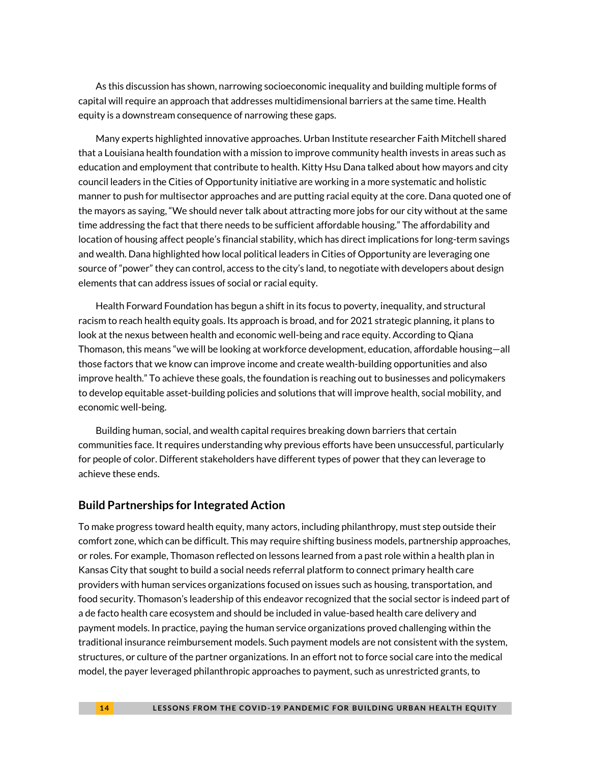As this discussion has shown, narrowing socioeconomic inequality and building multiple forms of capital will require an approach that addresses multidimensional barriers at the same time. Health equity is a downstream consequence of narrowing these gaps.

Many experts highlighted innovative approaches. Urban Institute researcher Faith Mitchell shared that a Louisiana health foundation with a mission to improve community health invests in areas such as education and employment that contribute to health. Kitty Hsu Dana talked about how mayors and city council leaders in the Cities of Opportunity initiative are working in a more systematic and holistic manner to push for multisector approaches and are putting racial equity at the core. Dana quoted one of the mayors as saying, "We should never talk about attracting more jobs for our city without at the same time addressing the fact that there needs to be sufficient affordable housing." The affordability and location of housing affect people's financial stability, which has direct implications for long-term savings and wealth. Dana highlighted how local political leaders in Cities of Opportunity are leveraging one source of "power" they can control, access to the city's land, to negotiate with developers about design elements that can address issues of social or racial equity.

Health Forward Foundation has begun a shift in its focus to poverty, inequality, and structural racism to reach health equity goals. Its approach is broad, and for 2021 strategic planning, it plans to look at the nexus between health and economic well-being and race equity. According to Qiana Thomason, this means "we will be looking at workforce development, education, affordable housing—all those factors that we know can improve income and create wealth-building opportunities and also improve health." To achieve these goals, the foundation is reaching out to businesses and policymakers to develop equitable asset-building policies and solutions that will improve health, social mobility, and economic well-being.

Building human, social, and wealth capital requires breaking down barriers that certain communities face. It requires understanding why previous efforts have been unsuccessful, particularly for people of color. Different stakeholders have different types of power that they can leverage to achieve these ends.

#### **Build Partnerships for Integrated Action**

To make progress toward health equity, many actors, including philanthropy, must step outside their comfort zone, which can be difficult. This may require shifting business models, partnership approaches, or roles. For example, Thomason reflected on lessons learned from a past role within a health plan in Kansas City that sought to build a social needs referral platform to connect primary health care providers with human services organizations focused on issues such as housing, transportation, and food security. Thomason's leadership of this endeavor recognized that the social sector is indeed part of a de facto health care ecosystem and should be included in value-based health care delivery and payment models. In practice, paying the human service organizations proved challenging within the traditional insurance reimbursement models. Such payment models are not consistent with the system, structures, or culture of the partner organizations. In an effort not to force social care into the medical model, the payer leveraged philanthropic approaches to payment, such as unrestricted grants, to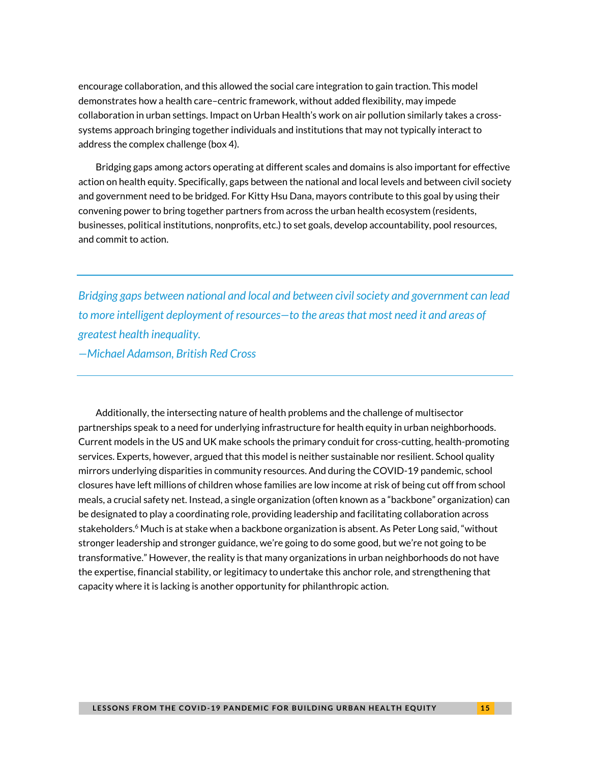encourage collaboration, and this allowed the social care integration to gain traction. This model demonstrates how a health care–centric framework, without added flexibility, may impede collaboration in urban settings. Impact on Urban Health's work on air pollution similarly takes a crosssystems approach bringing together individuals and institutions that may not typically interact to address the complex challenge (box 4).

Bridging gaps among actors operating at different scales and domains is also important for effective action on health equity. Specifically, gaps between the national and local levels and between civil society and government need to be bridged. For Kitty Hsu Dana, mayors contribute to this goal by using their convening power to bring together partners from across the urban health ecosystem (residents, businesses, political institutions, nonprofits, etc.) to set goals, develop accountability, pool resources, and commit to action.

*Bridging gaps between national and local and between civil society and government can lead to more intelligent deployment of resources—to the areas that most need it and areas of greatest health inequality. —Michael Adamson, British Red Cross*

Additionally, the intersecting nature of health problems and the challenge of multisector partnerships speak to a need for underlying infrastructure for health equity in urban neighborhoods. Current models in the US and UK make schools the primary conduit for cross-cutting, health-promoting services. Experts, however, argued that this model is neither sustainable nor resilient. School quality mirrors underlying disparities in community resources. And during the COVID-19 pandemic, school closures have left millions of children whose families are low income at risk of being cut off from school meals, a crucial safety net. Instead, a single organization (often known as a "backbone" organization) can be designated to play a coordinating role, providing leadership and facilitating collaboration across stakeholders.<sup>6</sup> Much is at stake when a backbone organization is absent. As Peter Long said, "without stronger leadership and stronger guidance, we're going to do some good, but we're not going to be transformative." However, the reality is that many organizations in urban neighborhoods do not have the expertise, financial stability, or legitimacy to undertake this anchor role, and strengthening that capacity where it is lacking is another opportunity for philanthropic action.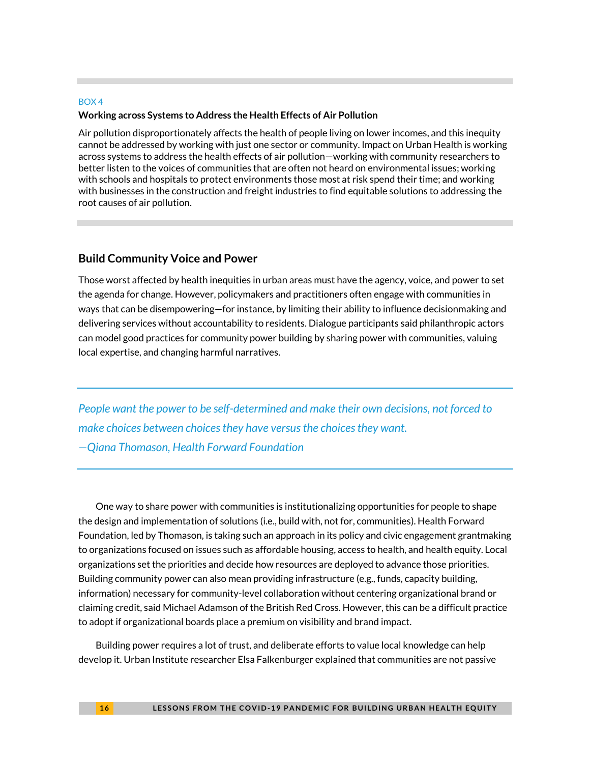#### BOX 4

#### **Working across Systems to Address the Health Effects of Air Pollution**

Air pollution disproportionately affects the health of people living on lower incomes, and this inequity cannot be addressed by working with just one sector or community. Impact on Urban Health is working across systems to address the health effects of air pollution—working with community researchers to better listen to the voices of communities that are often not heard on environmental issues; working with schools and hospitals to protect environments those most at risk spend their time; and working with businesses in the construction and freight industries to find equitable solutions to addressing the root causes of air pollution.

#### **Build Community Voice and Power**

Those worst affected by health inequities in urban areas must have the agency, voice, and power to set the agenda for change. However, policymakers and practitioners often engage with communities in ways that can be disempowering—for instance, by limiting their ability to influence decisionmaking and delivering services without accountability to residents. Dialogue participants said philanthropic actors can model good practices for community power building by sharing power with communities, valuing local expertise, and changing harmful narratives.

*People want the power to be self-determined and make their own decisions, not forced to make choices between choices they have versus the choices they want. —Qiana Thomason, Health Forward Foundation*

One way to share power with communities is institutionalizing opportunities for people to shape the design and implementation of solutions (i.e., build with, not for, communities). Health Forward Foundation, led by Thomason, is taking such an approach in its policy and civic engagement grantmaking to organizations focused on issues such as affordable housing, access to health, and health equity. Local organizations set the priorities and decide how resources are deployed to advance those priorities. Building community power can also mean providing infrastructure (e.g., funds, capacity building, information) necessary for community-level collaboration without centering organizational brand or claiming credit, said Michael Adamson of the British Red Cross. However, this can be a difficult practice to adopt if organizational boards place a premium on visibility and brand impact.

Building power requires a lot of trust, and deliberate efforts to value local knowledge can help develop it. Urban Institute researcher Elsa Falkenburger explained that communities are not passive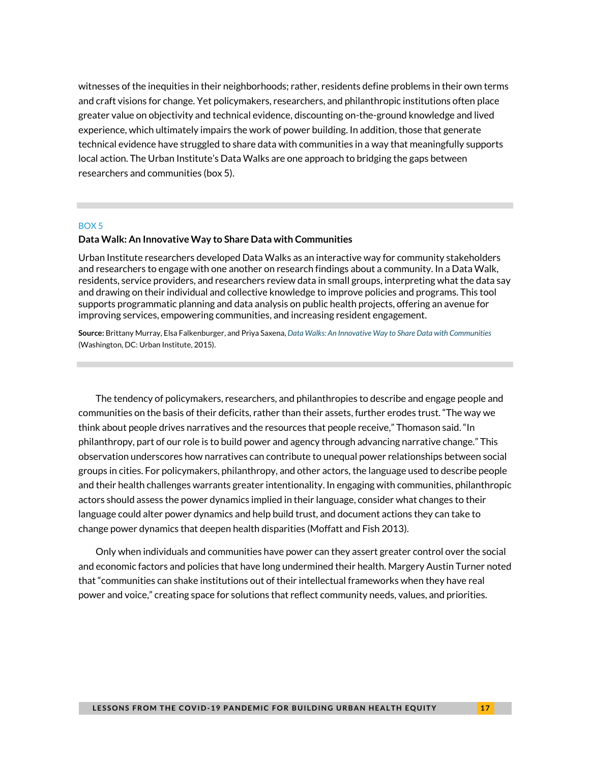witnesses of the inequities in their neighborhoods; rather, residents define problems in their own terms and craft visions for change. Yet policymakers, researchers, and philanthropic institutions often place greater value on objectivity and technical evidence, discounting on-the-ground knowledge and lived experience, which ultimately impairs the work of power building. In addition, those that generate technical evidence have struggled to share data with communities in a way that meaningfully supports local action. The Urban Institute's Data Walks are one approach to bridging the gaps between researchers and communities (box 5).

#### BOX 5

#### **Data Walk: An Innovative Way to Share Data with Communities**

Urban Institute researchers developed Data Walks as an interactive way for community stakeholders and researchers to engage with one another on research findings about a community. In a Data Walk, residents, service providers, and researchers review data in small groups, interpreting what the data say and drawing on their individual and collective knowledge to improve policies and programs. This tool supports programmatic planning and data analysis on public health projects, offering an avenue for improving services, empowering communities, and increasing resident engagement.

**Source:** Brittany Murray, Elsa Falkenburger, and Priya Saxena, *[Data Walks: An Innovative Way to Share Data with Communities](https://www.urban.org/research/publication/data-walks-innovative-way-share-data-communities)* (Washington, DC: Urban Institute, 2015).

The tendency of policymakers, researchers, and philanthropies to describe and engage people and communities on the basis of their deficits, rather than their assets, further erodes trust. "The way we think about people drives narratives and the resources that people receive," Thomason said. "In philanthropy, part of our role is to build power and agency through advancing narrative change." This observation underscores how narratives can contribute to unequal power relationships between social groups in cities. For policymakers, philanthropy, and other actors, the language used to describe people and their health challenges warrants greater intentionality. In engaging with communities, philanthropic actors should assess the power dynamics implied in their language, consider what changes to their language could alter power dynamics and help build trust, and document actions they can take to change power dynamics that deepen health disparities (Moffatt and Fish 2013).

Only when individuals and communities have power can they assert greater control over the social and economic factors and policies that have long undermined their health. Margery Austin Turner noted that "communities can shake institutions out of their intellectual frameworks when they have real power and voice," creating space for solutions that reflect community needs, values, and priorities.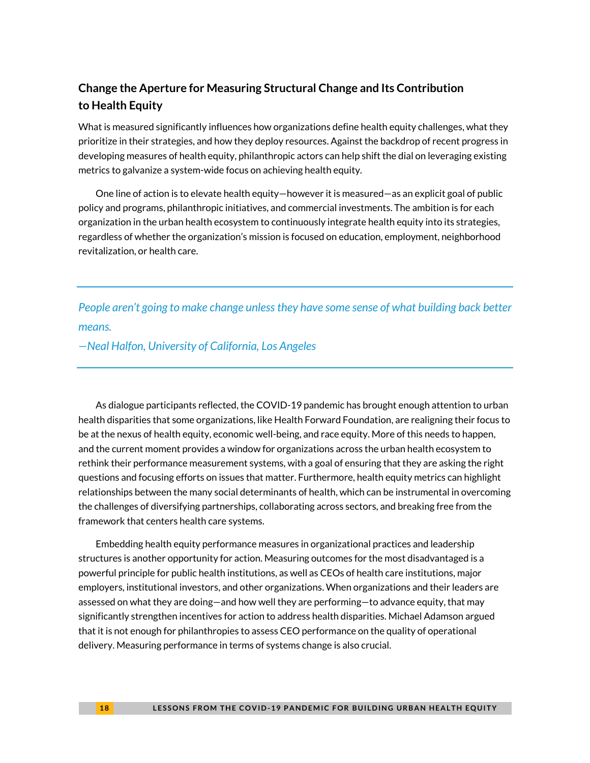### **Change the Aperture for Measuring Structural Change and Its Contribution to Health Equity**

What is measured significantly influences how organizations define health equity challenges, what they prioritize in their strategies, and how they deploy resources. Against the backdrop of recent progress in developing measures of health equity, philanthropic actors can help shift the dial on leveraging existing metrics to galvanize a system-wide focus on achieving health equity.

One line of action is to elevate health equity—however it is measured—as an explicit goal of public policy and programs, philanthropic initiatives, and commercial investments. The ambition is for each organization in the urban health ecosystem to continuously integrate health equity into its strategies, regardless of whether the organization's mission is focused on education, employment, neighborhood revitalization, or health care.

*People aren't going to make change unless they have some sense of what building back better means.*

#### *—Neal Halfon, University of California, Los Angeles*

As dialogue participants reflected, the COVID-19 pandemic has brought enough attention to urban health disparities that some organizations, like Health Forward Foundation, are realigning their focus to be at the nexus of health equity, economic well-being, and race equity. More of this needs to happen, and the current moment provides a window for organizations across the urban health ecosystem to rethink their performance measurement systems, with a goal of ensuring that they are asking the right questions and focusing efforts on issues that matter. Furthermore, health equity metrics can highlight relationships between the many social determinants of health, which can be instrumental in overcoming the challenges of diversifying partnerships, collaborating across sectors, and breaking free from the framework that centers health care systems.

Embedding health equity performance measures in organizational practices and leadership structures is another opportunity for action. Measuring outcomes for the most disadvantaged is a powerful principle for public health institutions, as well as CEOs of health care institutions, major employers, institutional investors, and other organizations. When organizations and their leaders are assessed on what they are doing—and how well they are performing—to advance equity, that may significantly strengthen incentives for action to address health disparities. Michael Adamson argued that it is not enough for philanthropies to assess CEO performance on the quality of operational delivery. Measuring performance in terms of systems change is also crucial.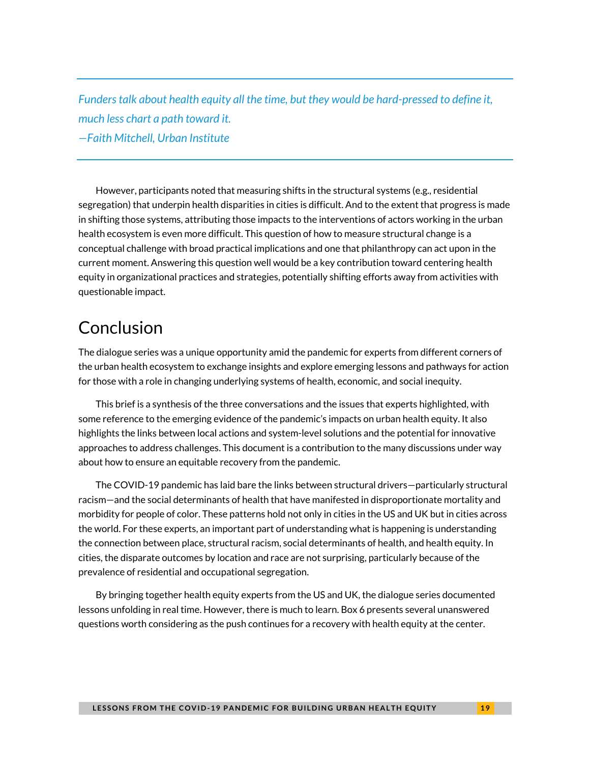*Funders talk about health equity all the time, but they would be hard-pressed to define it, much less chart a path toward it. —Faith Mitchell, Urban Institute*

However, participants noted that measuring shifts in the structural systems (e.g., residential segregation) that underpin health disparities in cities is difficult. And to the extent that progress is made in shifting those systems, attributing those impacts to the interventions of actors working in the urban health ecosystem is even more difficult. This question of how to measure structural change is a conceptual challenge with broad practical implications and one that philanthropy can act upon in the current moment. Answering this question well would be a key contribution toward centering health equity in organizational practices and strategies, potentially shifting efforts away from activities with questionable impact.

# Conclusion

The dialogue series was a unique opportunity amid the pandemic for experts from different corners of the urban health ecosystem to exchange insights and explore emerging lessons and pathways for action for those with a role in changing underlying systems of health, economic, and social inequity.

This brief is a synthesis of the three conversations and the issues that experts highlighted, with some reference to the emerging evidence of the pandemic's impacts on urban health equity. It also highlights the links between local actions and system-level solutions and the potential for innovative approaches to address challenges. This document is a contribution to the many discussions under way about how to ensure an equitable recovery from the pandemic.

The COVID-19 pandemic has laid bare the links between structural drivers—particularly structural racism—and the social determinants of health that have manifested in disproportionate mortality and morbidity for people of color. These patterns hold not only in cities in the US and UK but in cities across the world. For these experts, an important part of understanding what is happening is understanding the connection between place, structural racism, social determinants of health, and health equity. In cities, the disparate outcomes by location and race are not surprising, particularly because of the prevalence of residential and occupational segregation.

By bringing together health equity experts from the US and UK, the dialogue series documented lessons unfolding in real time. However, there is much to learn. Box 6 presents several unanswered questions worth considering as the push continues for a recovery with health equity at the center.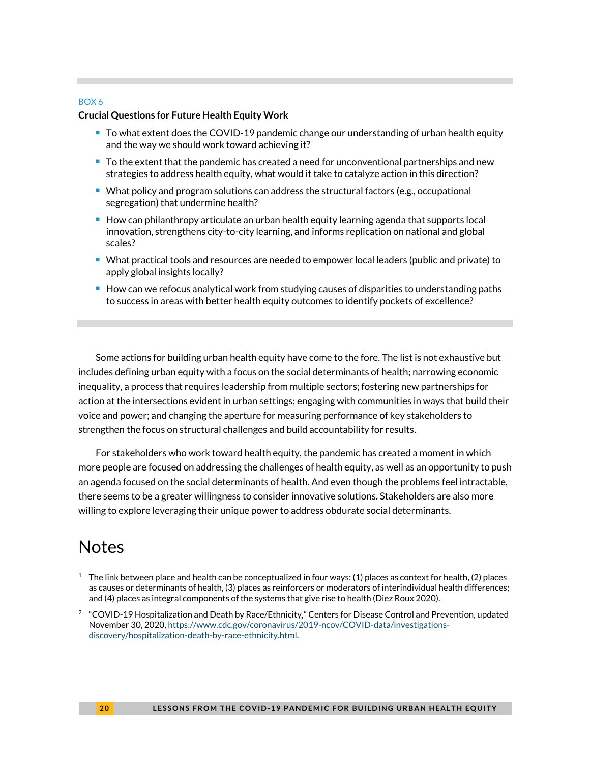#### BOX 6

#### **Crucial Questions for Future Health Equity Work**

- To what extent does the COVID-19 pandemic change our understanding of urban health equity and the way we should work toward achieving it?
- $\blacksquare$  To the extent that the pandemic has created a need for unconventional partnerships and new strategies to address health equity, what would it take to catalyze action in this direction?
- What policy and program solutions can address the structural factors (e.g., occupational segregation) that undermine health?
- $\blacksquare$  How can philanthropy articulate an urban health equity learning agenda that supports local innovation, strengthens city-to-city learning, and informs replication on national and global scales?
- What practical tools and resources are needed to empower local leaders (public and private) to apply global insights locally?
- $\blacksquare$  How can we refocus analytical work from studying causes of disparities to understanding paths to success in areas with better health equity outcomes to identify pockets of excellence?

Some actions for building urban health equity have come to the fore. The list is not exhaustive but includes defining urban equity with a focus on the social determinants of health; narrowing economic inequality, a process that requires leadership from multiple sectors; fostering new partnerships for action at the intersections evident in urban settings; engaging with communities in ways that build their voice and power; and changing the aperture for measuring performance of key stakeholders to strengthen the focus on structural challenges and build accountability for results.

For stakeholders who work toward health equity, the pandemic has created a moment in which more people are focused on addressing the challenges of health equity, as well as an opportunity to push an agenda focused on the social determinants of health. And even though the problems feel intractable, there seems to be a greater willingness to consider innovative solutions. Stakeholders are also more willing to explore leveraging their unique power to address obdurate social determinants.

## **Notes**

- $^1$  The link between place and health can be conceptualized in four ways: (1) places as context for health, (2) places as causes or determinants of health, (3) places as reinforcers or moderators of interindividual health differences; and (4) places as integral components of the systems that give rise to health (Diez Roux 2020).
- <sup>2</sup> "COVID-19 Hospitalization and Death by Race/Ethnicity," Centers for Disease Control and Prevention, updated November 30, 2020[, https://www.cdc.gov/coronavirus/2019-ncov/COVID-data/investigations](https://www.cdc.gov/coronavirus/2019-ncov/COVID-data/investigations-discovery/hospitalization-death-by-race-ethnicity.html)[discovery/hospitalization-death-by-race-ethnicity.html.](https://www.cdc.gov/coronavirus/2019-ncov/COVID-data/investigations-discovery/hospitalization-death-by-race-ethnicity.html)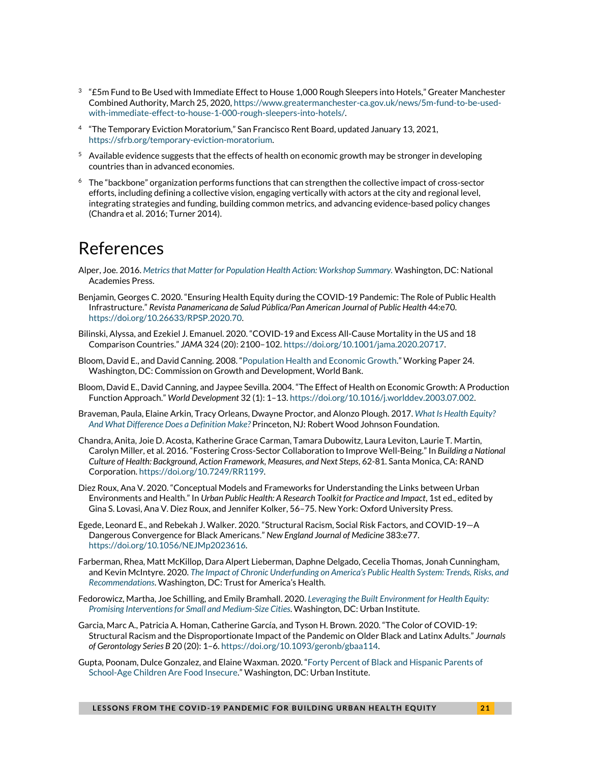- $^3$  "£5m Fund to Be Used with Immediate Effect to House 1,000 Rough Sleepers into Hotels," Greater Manchester Combined Authority, March 25, 2020[, https://www.greatermanchester-ca.gov.uk/news/5m-fund-to-be-used](https://www.greatermanchester-ca.gov.uk/news/5m-fund-to-be-used-with-immediate-effect-to-house-1-000-rough-sleepers-into-hotels/)[with-immediate-effect-to-house-1-000-rough-sleepers-into-hotels/.](https://www.greatermanchester-ca.gov.uk/news/5m-fund-to-be-used-with-immediate-effect-to-house-1-000-rough-sleepers-into-hotels/)
- 4 "The Temporary Eviction Moratorium," San Francisco Rent Board, updated January 13, 2021, [https://sfrb.org/temporary-eviction-moratorium.](https://sfrb.org/temporary-eviction-moratorium)
- $5$  Available evidence suggests that the effects of health on economic growth may be stronger in developing countries than in advanced economies.
- <sup>6</sup> The "backbone" organization performs functions that can strengthen the collective impact of cross-sector efforts, including defining a collective vision, engaging vertically with actors at the city and regional level, integrating strategies and funding, building common metrics, and advancing evidence-based policy changes (Chandra et al. 2016; Turner 2014).

# References

- Alper, Joe. 2016. *[Metrics that Matter for Population Health Action: Workshop Summary.](https://www.nap.edu/download/21899)* Washington, DC: National Academies Press.
- Benjamin, Georges C. 2020. "Ensuring Health Equity during the COVID-19 Pandemic: The Role of Public Health Infrastructure." *Revista Panamericana de Salud Pública/Pan American Journal of Public Health* 44:e70. [https://doi.org/10.26633/RPSP.2020.70.](https://doi.org/10.26633/RPSP.2020.70)
- Bilinski, Alyssa, and Ezekiel J. Emanuel. 2020. "COVID[-19 and Excess All-Cause Mortality in the US and 18](https://jamanetwork.com/journals/jama/fullarticle/2771841)  [Comparison Countries."](https://jamanetwork.com/journals/jama/fullarticle/2771841) *JAMA* 324 (20): 2100–102. [https://doi.org/10.1001/jama.2020.20717.](https://doi.org/10.1001/jama.2020.20717)
- Bloom, David E., and David Canning. 2008. "[Population Health and Economic Growth.](https://openknowledge.worldbank.org/handle/10986/28036)" Working Paper 24. Washington, DC: Commission on Growth and Development, World Bank.
- Bloom, David E., David Canning, and Jaypee Sevilla. 2004. "The Effect of Health on Economic Growth: A Production Function Approach." *World Development* 32 (1): 1–13. [https://doi.org/10.1016/j.worlddev.2003.07.002.](https://doi.org/10.1016/j.worlddev.2003.07.002)
- Braveman, Paula, Elaine Arkin, Tracy Orleans, Dwayne Proctor, and Alonzo Plough. 2017. *[What Is Health Equity?](https://www.rwjf.org/en/library/research/2017/05/what-is-health-equity-.html)  [And What Difference Does a Definition Make?](https://www.rwjf.org/en/library/research/2017/05/what-is-health-equity-.html)* Princeton, NJ: Robert Wood Johnson Foundation.
- Chandra, Anita, Joie D. Acosta, Katherine Grace Carman, Tamara Dubowitz, Laura Leviton, Laurie T. Martin, Carolyn Miller, et al. 2016. "Fostering Cross-Sector Collaboration to Improve Well-Being." In *Building a National Culture of Health: Background, Action Framework, Measures, and Next Steps*, 62-81. Santa Monica, CA: RAND Corporation[. https://doi.org/10.7249/RR1199.](https://doi.org/10.7249/RR1199)
- Diez Roux, Ana V. 2020. "Conceptual Models and Frameworks for Understanding the Links between Urban Environments and Health." In *Urban Public Health: A Research Toolkit for Practice and Impact*, 1st ed., edited by Gina S. Lovasi, Ana V. Diez Roux, and Jennifer Kolker, 56–75. New York: Oxford University Press.
- Egede, Leonard E., and Rebekah J. Walker. 2020. "Structural Racism, Social Risk Factors, and COVID-19—A Dangerous Convergence for Black Americans." *New England Journal of Medicine* 383:e77. [https://doi.org/10.1056/NEJMp2023616.](https://doi.org/10.1056/NEJMp2023616)
- Farberman, Rhea, Matt McKillop, Dara Alpert Lieberman, Daphne Delgado, Cecelia Thomas, Jonah Cunningham, and Kevin McIntyre. 2020. *[The Impact of Chronic Underfunding on America's Public Health System: Trends, Risks, and](https://www.tfah.org/wp-content/uploads/2020/04/TFAH2020PublicHealthFunding.pdf)  [Recommendations](https://www.tfah.org/wp-content/uploads/2020/04/TFAH2020PublicHealthFunding.pdf)*. Washington, DC: Trust for America's Health.
- Fedorowicz, Martha, Joe Schilling, and Emily Bramhall. 2020. *[Leveraging the Built Environment for Health Equity:](https://www.urban.org/research/publication/leveraging-built-environment-health-equity)  [Promising Interventions for Small and Medium-Size Cities](https://www.urban.org/research/publication/leveraging-built-environment-health-equity)*. Washington, DC: Urban Institute.
- Garcia, Marc A., Patricia A. Homan, Catherine García, and Tyson H. Brown. 2020. "The Color of COVID-19: Structural Racism and the Disproportionate Impact of the Pandemic on Older Black and Latinx Adults." *Journals of Gerontology Series B* 20 (20): 1–6[. https://doi.org/10.1093/geronb/gbaa114.](https://doi.org/10.1093/geronb/gbaa114)
- Gupta, Poonam, Dulce Gonzalez, and Elaine Waxman. 2020. "[Forty Percent of Black and Hispanic Parents of](https://www.urban.org/research/publication/forty-percent-black-and-hispanic-parents-school-age-children-are-food-insecure)  [School-Age Children Are Food Insecure](https://www.urban.org/research/publication/forty-percent-black-and-hispanic-parents-school-age-children-are-food-insecure)." Washington, DC: Urban Institute.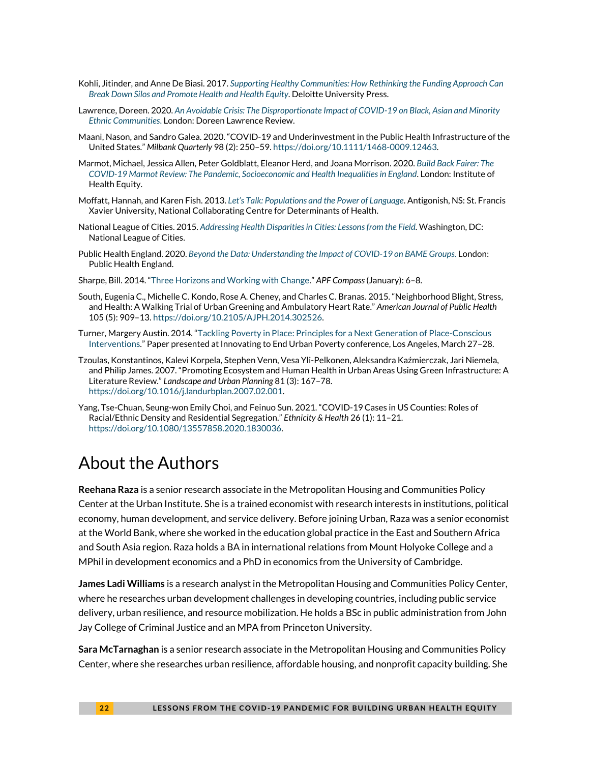- Kohli, Jitinder, and Anne De Biasi. 2017. *[Supporting Healthy Communities: How Rethinking the Funding Approach Can](https://www2.deloitte.com/content/dam/insights/us/articles/3608_supporting-healthy-communities/DUP_supporting-healthy-communities.pdf)  [Break Down Silos and Promote Health and Health Equity](https://www2.deloitte.com/content/dam/insights/us/articles/3608_supporting-healthy-communities/DUP_supporting-healthy-communities.pdf)*. Deloitte University Press.
- Lawrence, Doreen. 2020. *[An Avoidable Crisis: The Disproportionate Impact of COVID-19 on Black, Asian and Minority](https://uploads-ssl.webflow.com/5f5bdc0f30fe4b120448a029/5f973b076be4cadc5045fad3_An%20Avoidable%20Crisis.pdf)  [Ethnic Communities](https://uploads-ssl.webflow.com/5f5bdc0f30fe4b120448a029/5f973b076be4cadc5045fad3_An%20Avoidable%20Crisis.pdf)*. London: Doreen Lawrence Review.
- Maani, Nason, and Sandro Galea. 2020. "COVID-19 and Underinvestment in the Public Health Infrastructure of the United States." *Milbank Quarterly* 98 (2): 250–59. [https://doi.org/10.1111/1468-0009.12463.](https://doi.org/10.1111/1468-0009.12463)
- Marmot, Michael, Jessica Allen, Peter Goldblatt, Eleanor Herd, and Joana Morrison. 2020. *[Build Back Fairer: The](http://www.instituteofhealthequity.org/resources-reports/build-back-fairer-the-covid-19-marmot-review/build-back-fairer-the-covid-19-marmot-review-full-report.pdf)  [COVID-19 Marmot Review: The Pandemic, Socioeconomic and Health Inequalities in England](http://www.instituteofhealthequity.org/resources-reports/build-back-fairer-the-covid-19-marmot-review/build-back-fairer-the-covid-19-marmot-review-full-report.pdf)*. London: Institute of Health Equity.
- Moffatt, Hannah, and Karen Fish. 2013. *[Let's Talk: Populations and the Power of Language](https://nccdh.ca/images/uploads/Population_EN_web2.pdf)*. Antigonish, NS: St. Francis Xavier University, National Collaborating Centre for Determinants of Health.
- National League of Cities. 2015. *[Addressing Health Disparities in Cities: Lessons from the Field.](https://www.nlc.org/wp-content/uploads/2017/03/nlc-health-disparities-lessons-learned_finalprintversion.pdf)* Washington, DC: National League of Cities.
- Public Health England. 2020. *[Beyond the Data: Understanding the Impact of COVID-19 on BAME Groups.](https://assets.publishing.service.gov.uk/government/uploads/system/uploads/attachment_data/file/892376/COVID_stakeholder_engagement_synthesis_beyond_the_data.pdf)* London: Public Health England.
- Sharpe, Bill. 2014. "[Three Horizons and Working with Change](https://www.triarchypress.net/uploads/1/4/0/0/14002490/sharpe-compass-jan2014-final.pdf)." *APF Compass*(January): 6–8.
- South, Eugenia C., Michelle C. Kondo, Rose A. Cheney, and Charles C. Branas. 2015. "Neighborhood Blight, Stress, and Health: A Walking Trial of Urban Greening and Ambulatory Heart Rate." *American Journal of Public Health* 105 (5): 909–13. [https://doi.org/10.2105/AJPH.2014.302526.](https://doi.org/10.2105/AJPH.2014.302526)
- Turner, Margery Austin. 2014. "[Tackling Poverty in Place: Principles for a Next Generation of](https://socialinnovation.usc.edu/files/2014/03/Turner-Tackling-Poverty-in-Place.pdf) Place-Conscious [Interventions.](https://socialinnovation.usc.edu/files/2014/03/Turner-Tackling-Poverty-in-Place.pdf)" Paper presented at Innovating to End Urban Poverty conference, Los Angeles, March 27–28.
- Tzoulas, Konstantinos, Kalevi Korpela, Stephen Venn, Vesa Yli-Pelkonen, Aleksandra Kaźmierczak, Jari Niemela, and Philip James. 2007. "Promoting Ecosystem and Human Health in Urban Areas Using Green Infrastructure: A Literature Review." *Landscape and Urban Planning* 81 (3): 167–78. [https://doi.org/10.1016/j.landurbplan.2007.02.001.](https://doi.org/10.1016/j.landurbplan.2007.02.001)
- Yang, Tse-Chuan, Seung-won Emily Choi, and Feinuo Sun. 2021. "COVID-19 Cases in US Counties: Roles of Racial/Ethnic Density and Residential Segregation." *Ethnicity & Health* 26 (1): 11–21. [https://doi.org/10.1080/13557858.2020.1830036.](https://doi.org/10.1080/13557858.2020.1830036)

# About the Authors

**Reehana Raza** is a senior research associate in the Metropolitan Housing and Communities Policy Center at the Urban Institute. She is a trained economist with research interests in institutions, political economy, human development, and service delivery. Before joining Urban, Raza was a senior economist at the World Bank, where she worked in the education global practice in the East and Southern Africa and South Asia region. Raza holds a BA in international relations from Mount Holyoke College and a MPhil in development economics and a PhD in economics from the University of Cambridge.

**James Ladi Williams** is a research analyst in the Metropolitan Housing and Communities Policy Center, where he researches urban development challenges in developing countries, including public service delivery, urban resilience, and resource mobilization. He holds a BSc in public administration from John Jay College of Criminal Justice and an MPA from Princeton University.

**Sara McTarnaghan** is a senior research associate in the Metropolitan Housing and Communities Policy Center, where she researches urban resilience, affordable housing, and nonprofit capacity building. She